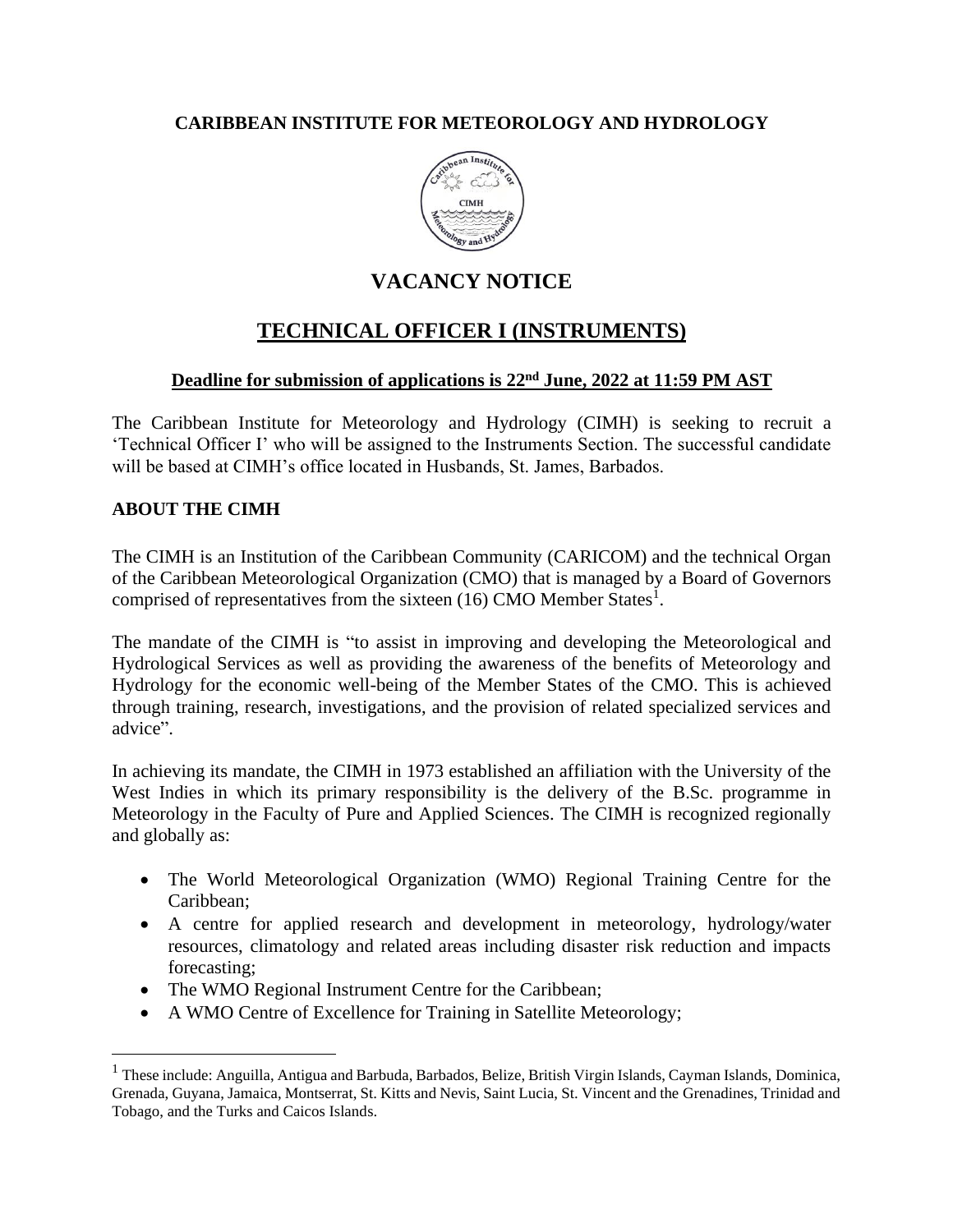### **CARIBBEAN INSTITUTE FOR METEOROLOGY AND HYDROLOGY**



# **VACANCY NOTICE**

# **TECHNICAL OFFICER I (INSTRUMENTS)**

### **Deadline for submission of applications is 22nd June, 2022 at 11:59 PM AST**

The Caribbean Institute for Meteorology and Hydrology (CIMH) is seeking to recruit a 'Technical Officer I' who will be assigned to the Instruments Section. The successful candidate will be based at CIMH's office located in Husbands, St. James, Barbados.

### **ABOUT THE CIMH**

The CIMH is an Institution of the Caribbean Community (CARICOM) and the technical Organ of the Caribbean Meteorological Organization (CMO) that is managed by a Board of Governors comprised of representatives from the sixteen  $(16)$  CMO Member States<sup>1</sup>.

The mandate of the CIMH is "to assist in improving and developing the Meteorological and Hydrological Services as well as providing the awareness of the benefits of Meteorology and Hydrology for the economic well-being of the Member States of the CMO. This is achieved through training, research, investigations, and the provision of related specialized services and advice".

In achieving its mandate, the CIMH in 1973 established an affiliation with the University of the West Indies in which its primary responsibility is the delivery of the B.Sc. programme in Meteorology in the Faculty of Pure and Applied Sciences. The CIMH is recognized regionally and globally as:

- The World Meteorological Organization (WMO) Regional Training Centre for the Caribbean;
- A centre for applied research and development in meteorology, hydrology/water resources, climatology and related areas including disaster risk reduction and impacts forecasting;
- The WMO Regional Instrument Centre for the Caribbean;
- A WMO Centre of Excellence for Training in Satellite Meteorology;

<sup>&</sup>lt;sup>1</sup> These include: Anguilla, Antigua and Barbuda, Barbados, Belize, British Virgin Islands, Cayman Islands, Dominica, Grenada, Guyana, Jamaica, Montserrat, St. Kitts and Nevis, Saint Lucia, St. Vincent and the Grenadines, Trinidad and Tobago, and the Turks and Caicos Islands.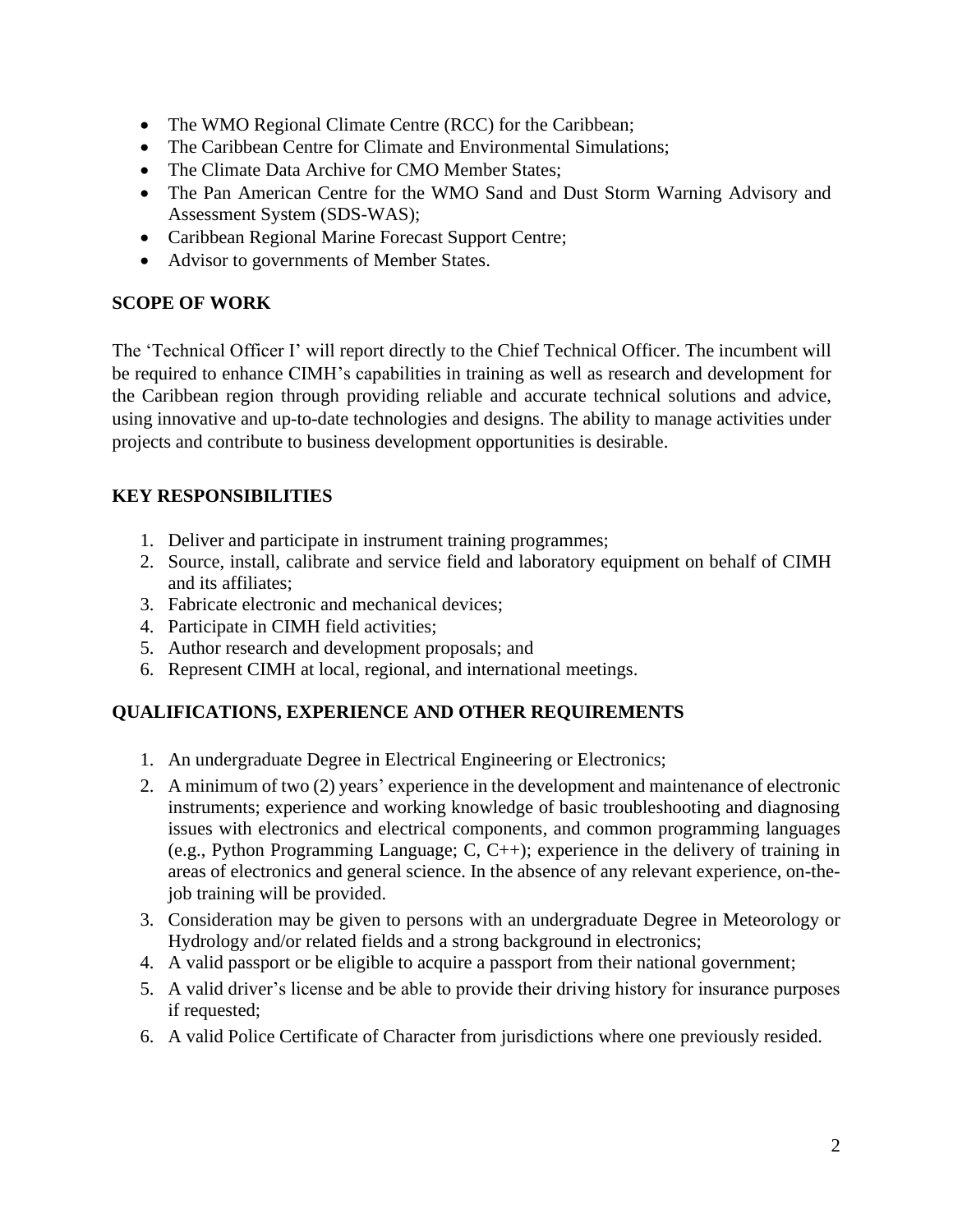- The WMO Regional Climate Centre (RCC) for the Caribbean;
- The Caribbean Centre for Climate and Environmental Simulations;
- The Climate Data Archive for CMO Member States:
- The Pan American Centre for the WMO Sand and Dust Storm Warning Advisory and Assessment System (SDS-WAS);
- Caribbean Regional Marine Forecast Support Centre;
- Advisor to governments of Member States.

### **SCOPE OF WORK**

The 'Technical Officer I' will report directly to the Chief Technical Officer. The incumbent will be required to enhance CIMH's capabilities in training as well as research and development for the Caribbean region through providing reliable and accurate technical solutions and advice, using innovative and up-to-date technologies and designs. The ability to manage activities under projects and contribute to business development opportunities is desirable.

## **KEY RESPONSIBILITIES**

- 1. Deliver and participate in instrument training programmes;
- 2. Source, install, calibrate and service field and laboratory equipment on behalf of CIMH and its affiliates;
- 3. Fabricate electronic and mechanical devices;
- 4. Participate in CIMH field activities;
- 5. Author research and development proposals; and
- 6. Represent CIMH at local, regional, and international meetings.

## **QUALIFICATIONS, EXPERIENCE AND OTHER REQUIREMENTS**

- 1. An undergraduate Degree in Electrical Engineering or Electronics;
- 2. A minimum of two (2) years' experience in the development and maintenance of electronic instruments; experience and working knowledge of basic troubleshooting and diagnosing issues with electronics and electrical components, and common programming languages (e.g., Python Programming Language; C, C++); experience in the delivery of training in areas of electronics and general science. In the absence of any relevant experience, on-thejob training will be provided.
- 3. Consideration may be given to persons with an undergraduate Degree in Meteorology or Hydrology and/or related fields and a strong background in electronics;
- 4. A valid passport or be eligible to acquire a passport from their national government;
- 5. A valid driver's license and be able to provide their driving history for insurance purposes if requested;
- 6. A valid Police Certificate of Character from jurisdictions where one previously resided.